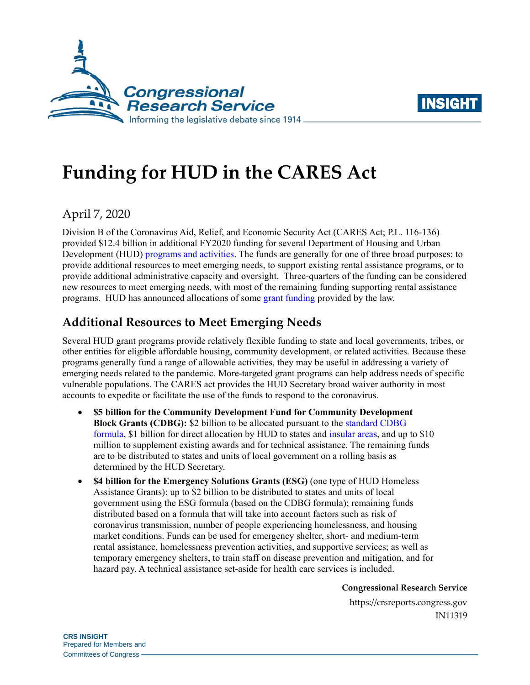



# **Funding for HUD in the CARES Act**

## April 7, 2020

Division B of the Coronavirus Aid, Relief, and Economic Security Act (CARES Act; [P.L. 116-136\)](http://www.congress.gov/cgi-lis/bdquery/R?d116:FLD002:@1(116+136)) provided \$12.4 billion in additional FY2020 funding for several Department of Housing and Urban Development (HUD) [programs and activities.](https://crsreports.congress.gov/product/pdf/RL/RL34591) The funds are generally for one of three broad purposes: to provide additional resources to meet emerging needs, to support existing rental assistance programs, or to provide additional administrative capacity and oversight. Three-quarters of the funding can be considered new resources to meet emerging needs, with most of the remaining funding supporting rental assistance programs. HUD has announced allocations of some [grant](https://www.hud.gov/press/press_releases_media_advisories/HUD_No_20_049) [funding](https://www.hud.gov/press/press_releases_media_advisories/HUD_No_20_050) provided by the law.

## **Additional Resources to Meet Emerging Needs**

Several HUD grant programs provide relatively flexible funding to state and local governments, tribes, or other entities for eligible affordable housing, community development, or related activities. Because these programs generally fund a range of allowable activities, they may be useful in addressing a variety of emerging needs related to the pandemic. More-targeted grant programs can help address needs of specific vulnerable populations. The CARES act provides the HUD Secretary broad waiver authority in most accounts to expedite or facilitate the use of the funds to respond to the coronavirus.

- **\$5 billion for the Community Development Fund for Community Development Block Grants (CDBG):** \$2 billion to be allocated pursuant to the [standard CDBG](https://www.govinfo.gov/content/pkg/USCODE-2010-title42/html/USCODE-2010-title42-chap69-sec5306.htm)  [formula,](https://www.govinfo.gov/content/pkg/USCODE-2010-title42/html/USCODE-2010-title42-chap69-sec5306.htm) \$1 billion for direct allocation by HUD to states and [insular areas,](https://www.hudexchange.info/programs/cdbg-insular-areas/) and up to \$10 million to supplement existing awards and for technical assistance. The remaining funds are to be distributed to states and units of local government on a rolling basis as determined by the HUD Secretary.
- **\$4 billion for the Emergency Solutions Grants (ESG)** (one type of HUD Homeless Assistance Grants): up to \$2 billion to be distributed to states and units of local government using the ESG formula (based on the CDBG formula); remaining funds distributed based on a formula that will take into account factors such as risk of coronavirus transmission, number of people experiencing homelessness, and housing market conditions. Funds can be used for emergency shelter, short- and medium-term rental assistance, homelessness prevention activities, and supportive services; as well as temporary emergency shelters, to train staff on disease prevention and mitigation, and for hazard pay. A technical assistance set-aside for health care services is included.

**Congressional Research Service**

https://crsreports.congress.gov IN11319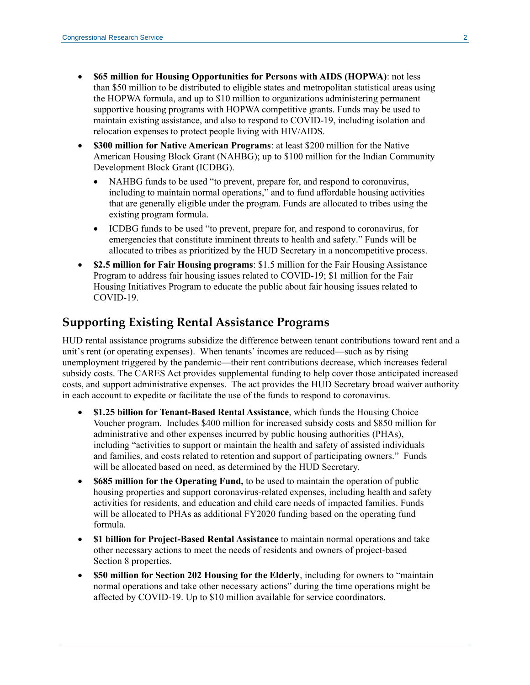- **\$65 million for Housing Opportunities for Persons with AIDS (HOPWA)**: not less than \$50 million to be distributed to eligible states and metropolitan statistical areas using the HOPWA formula, and up to \$10 million to organizations administering permanent supportive housing programs with HOPWA competitive grants. Funds may be used to maintain existing assistance, and also to respond to COVID-19, including isolation and relocation expenses to protect people living with HIV/AIDS.
- **\$300 million for Native American Programs**: at least \$200 million for the Native American Housing Block Grant (NAHBG); up to \$100 million for the Indian Community Development Block Grant (ICDBG).
	- NAHBG funds to be used "to prevent, prepare for, and respond to coronavirus, including to maintain normal operations," and to fund affordable housing activities that are generally eligible under the program. Funds are allocated to tribes using the existing program formula.
	- ICDBG funds to be used "to prevent, prepare for, and respond to coronavirus, for emergencies that constitute imminent threats to health and safety." Funds will be allocated to tribes as prioritized by the HUD Secretary in a noncompetitive process.
- **\$2.5 million for Fair Housing programs**: \$1.5 million for the Fair Housing Assistance Program to address fair housing issues related to COVID-19; \$1 million for the Fair Housing Initiatives Program to educate the public about fair housing issues related to COVID-19.

#### **Supporting Existing Rental Assistance Programs**

HUD rental assistance programs subsidize the difference between tenant contributions toward rent and a unit's rent (or operating expenses). When tenants' incomes are reduced—such as by rising unemployment triggered by the pandemic—their rent contributions decrease, which increases federal subsidy costs. The CARES Act provides supplemental funding to help cover those anticipated increased costs, and support administrative expenses. The act provides the HUD Secretary broad waiver authority in each account to expedite or facilitate the use of the funds to respond to coronavirus.

- **\$1.25 billion for Tenant-Based Rental Assistance**, which funds the Housing Choice Voucher program. Includes \$400 million for increased subsidy costs and \$850 million for administrative and other expenses incurred by public housing authorities (PHAs), including "activities to support or maintain the health and safety of assisted individuals and families, and costs related to retention and support of participating owners." Funds will be allocated based on need, as determined by the HUD Secretary.
- **\$685 million for the Operating Fund,** to be used to maintain the operation of public housing properties and support coronavirus-related expenses, including health and safety activities for residents, and education and child care needs of impacted families. Funds will be allocated to PHAs as additional FY2020 funding based on the operating fund formula.
- **\$1 billion for Project-Based Rental Assistance** to maintain normal operations and take other necessary actions to meet the needs of residents and owners of project-based Section 8 properties.
- **\$50 million for Section 202 Housing for the Elderly**, including for owners to "maintain normal operations and take other necessary actions" during the time operations might be affected by COVID-19. Up to \$10 million available for service coordinators.